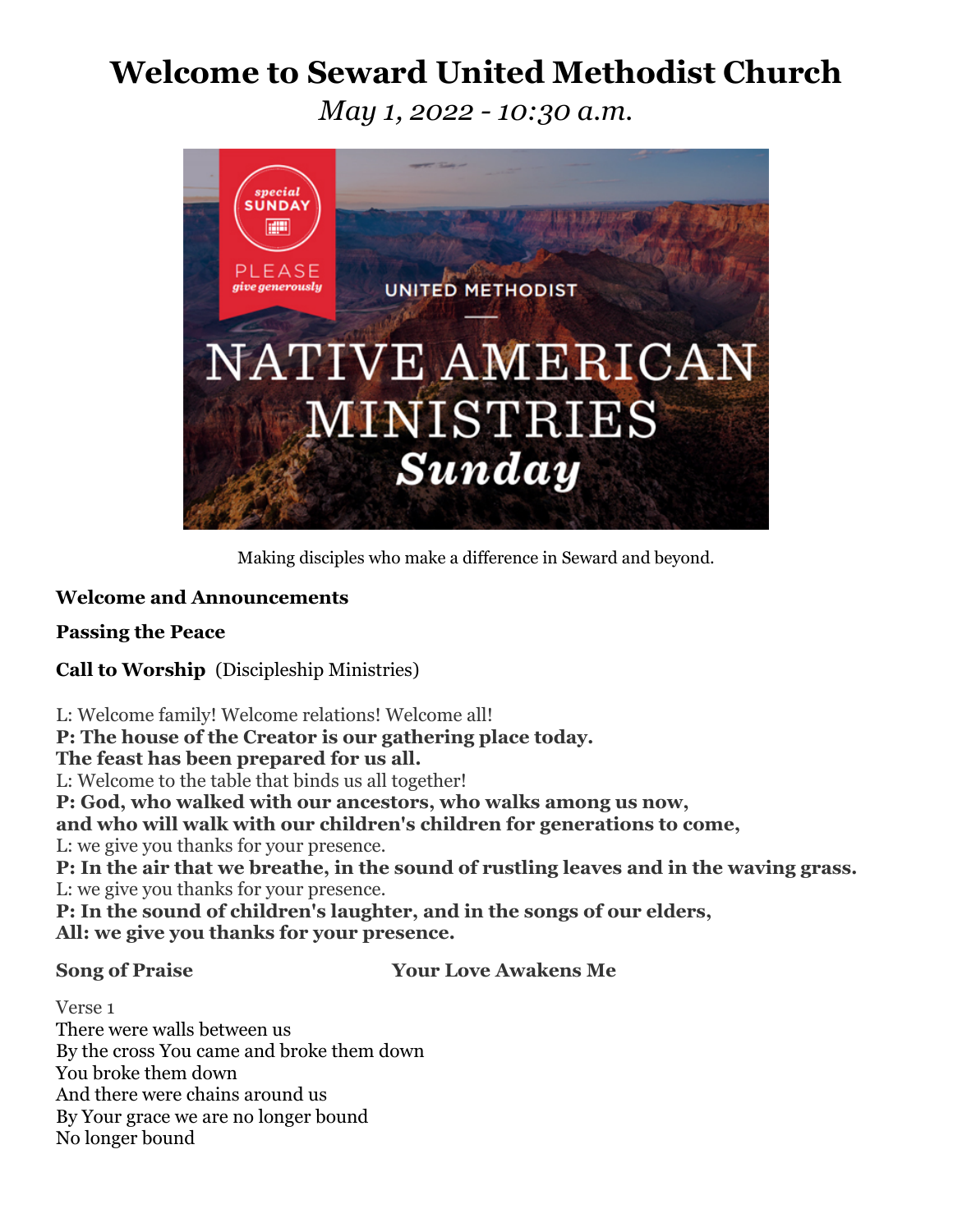# **Welcome to Seward United Methodist Church**

*May 1, 2022 - 10:30 a.m.*



Making disciples who make a difference in Seward and beyond.

# **Welcome and Announcements**

## **Passing the Peace**

**Call to Worship** (Discipleship Ministries)

L: Welcome family! Welcome relations! Welcome all!

**P: The house of the Creator is our gathering place today.**

**The feast has been prepared for us all.**

L: Welcome to the table that binds us all together!

**P: God, who walked with our ancestors, who walks among us now,**

**and who will walk with our children's children for generations to come,**

L: we give you thanks for your presence.

**P: In the air that we breathe, in the sound of rustling leaves and in the waving grass.** L: we give you thanks for your presence.

**P: In the sound of children's laughter, and in the songs of our elders, All: we give you thanks for your presence.**

**Song of Praise Your Love Awakens Me**

Verse 1 There were walls between us By the cross You came and broke them down You broke them down And there were chains around us By Your grace we are no longer bound No longer bound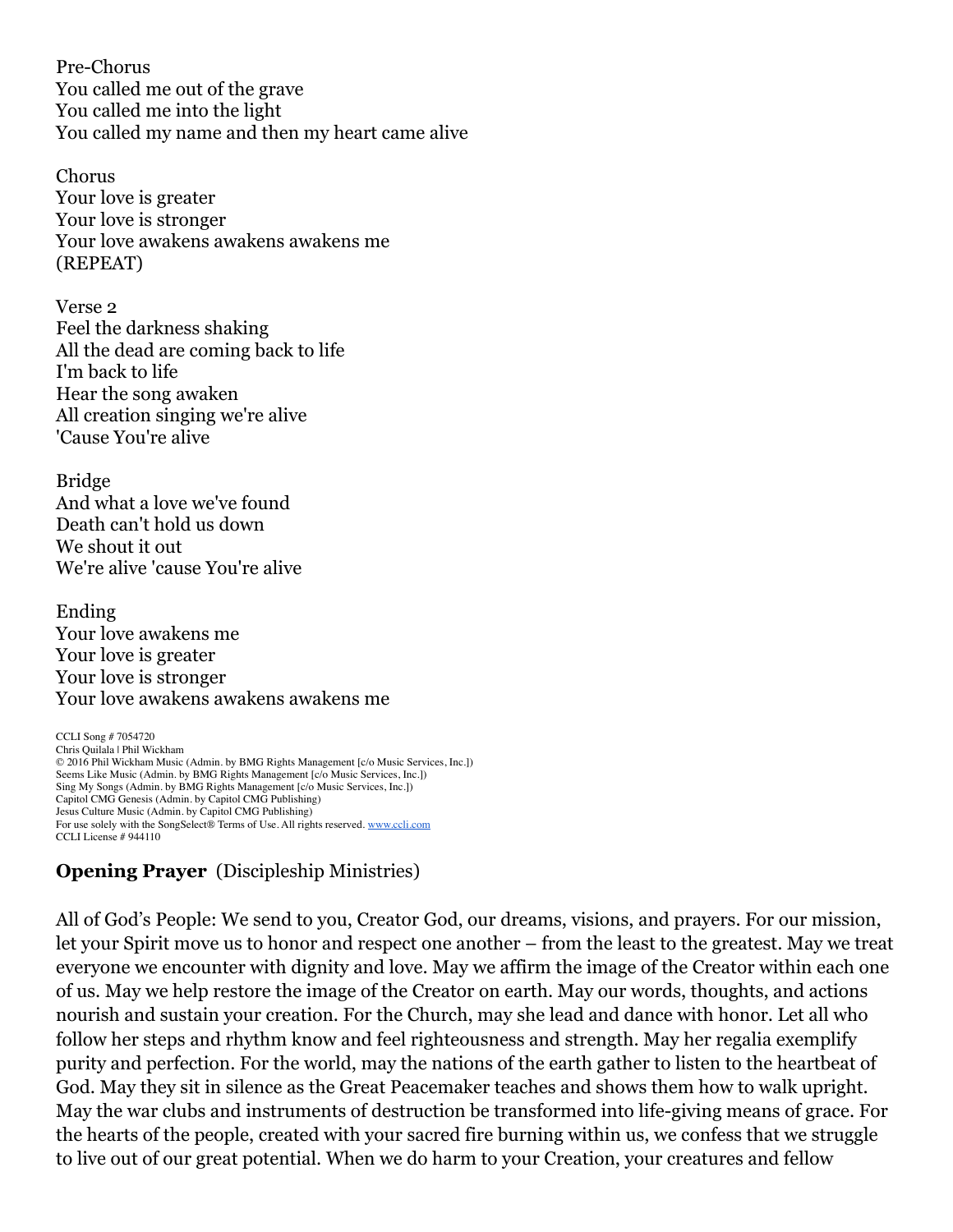Pre-Chorus You called me out of the grave You called me into the light You called my name and then my heart came alive

Chorus Your love is greater Your love is stronger Your love awakens awakens awakens me (REPEAT)

Verse 2 Feel the darkness shaking All the dead are coming back to life I'm back to life Hear the song awaken All creation singing we're alive 'Cause You're alive

Bridge And what a love we've found Death can't hold us down We shout it out We're alive 'cause You're alive

Ending Your love awakens me Your love is greater Your love is stronger Your love awakens awakens awakens me

CCLI Song # 7054720 Chris Quilala | Phil Wickham © 2016 Phil Wickham Music (Admin. by BMG Rights Management [c/o Music Services, Inc.]) Seems Like Music (Admin. by BMG Rights Management [c/o Music Services, Inc.]) Sing My Songs (Admin. by BMG Rights Management [c/o Music Services, Inc.]) Capitol CMG Genesis (Admin. by Capitol CMG Publishing) Jesus Culture Music (Admin. by Capitol CMG Publishing) For use solely with the SongSelect® Terms of Use. All rights reserved. [www.ccli.com](http://www.ccli.com/) CCLI License # 944110

# **Opening Prayer** (Discipleship Ministries)

All of God's People: We send to you, Creator God, our dreams, visions, and prayers. For our mission, let your Spirit move us to honor and respect one another – from the least to the greatest. May we treat everyone we encounter with dignity and love. May we affirm the image of the Creator within each one of us. May we help restore the image of the Creator on earth. May our words, thoughts, and actions nourish and sustain your creation. For the Church, may she lead and dance with honor. Let all who follow her steps and rhythm know and feel righteousness and strength. May her regalia exemplify purity and perfection. For the world, may the nations of the earth gather to listen to the heartbeat of God. May they sit in silence as the Great Peacemaker teaches and shows them how to walk upright. May the war clubs and instruments of destruction be transformed into life-giving means of grace. For the hearts of the people, created with your sacred fire burning within us, we confess that we struggle to live out of our great potential. When we do harm to your Creation, your creatures and fellow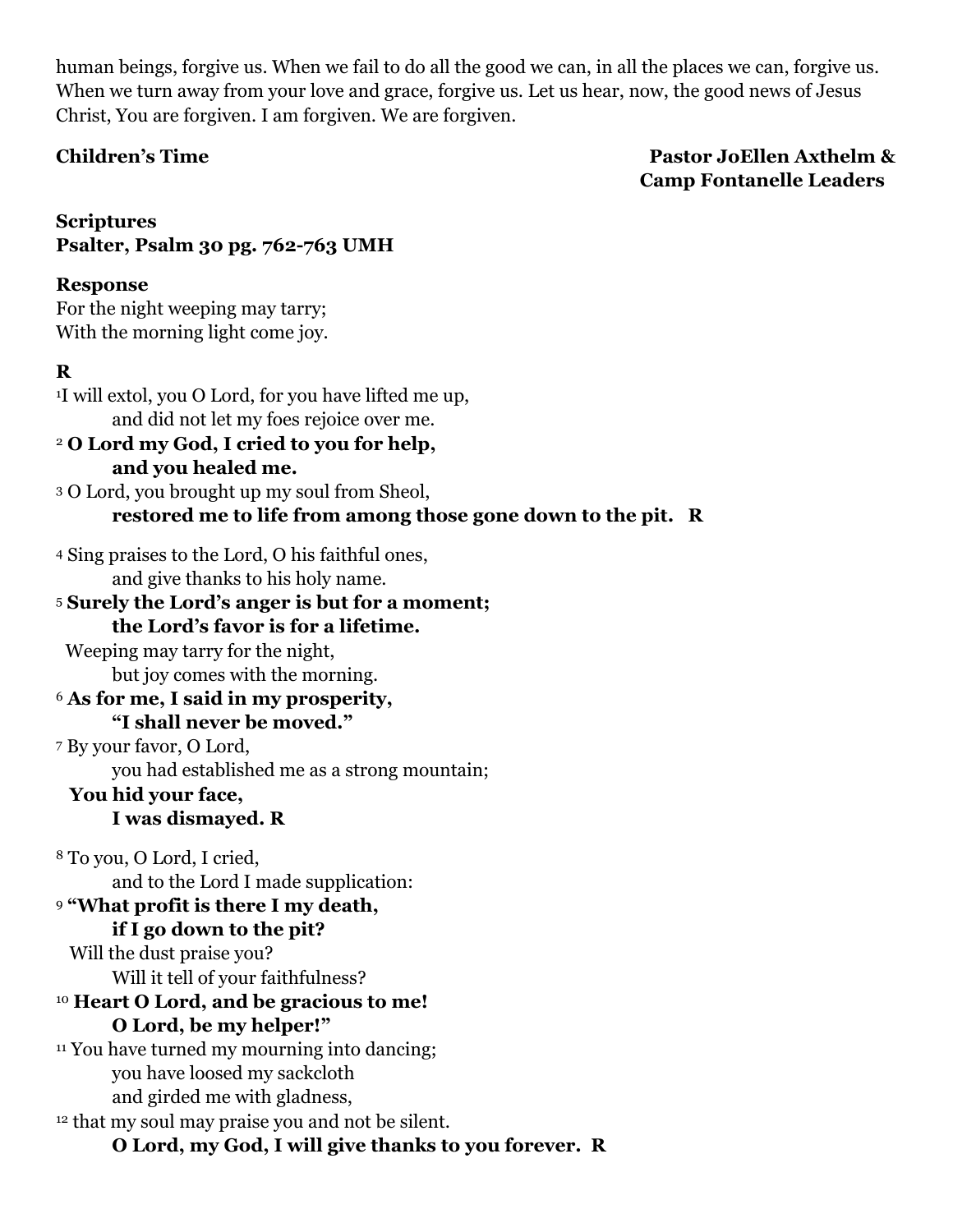human beings, forgive us. When we fail to do all the good we can, in all the places we can, forgive us. When we turn away from your love and grace, forgive us. Let us hear, now, the good news of Jesus Christ, You are forgiven. I am forgiven. We are forgiven.

#### **Children's Time Pastor JoEllen Axthelm & Camp Fontanelle Leaders**

**Scriptures**

**Psalter, Psalm 30 pg. 762-763 UMH**

#### **Response**

For the night weeping may tarry; With the morning light come joy.

#### **R**

1I will extol, you O Lord, for you have lifted me up, and did not let my foes rejoice over me. <sup>2</sup> **O Lord my God, I cried to you for help, and you healed me.** 3 O Lord, you brought up my soul from Sheol, **restored me to life from among those gone down to the pit. R** 4 Sing praises to the Lord, O his faithful ones, and give thanks to his holy name. <sup>5</sup> **Surely the Lord's anger is but for a moment; the Lord's favor is for a lifetime.** Weeping may tarry for the night, but joy comes with the morning. <sup>6</sup> **As for me, I said in my prosperity, "I shall never be moved."** 7 By your favor, O Lord, you had established me as a strong mountain; **You hid your face, I was dismayed. R** 8 To you, O Lord, I cried, and to the Lord I made supplication: <sup>9</sup> **"What profit is there I my death, if I go down to the pit?** Will the dust praise you? Will it tell of your faithfulness? <sup>10</sup> **Heart O Lord, and be gracious to me! O Lord, be my helper!"** <sup>11</sup> You have turned my mourning into dancing; you have loosed my sackcloth and girded me with gladness, 12 that my soul may praise you and not be silent. **O Lord, my God, I will give thanks to you forever. R**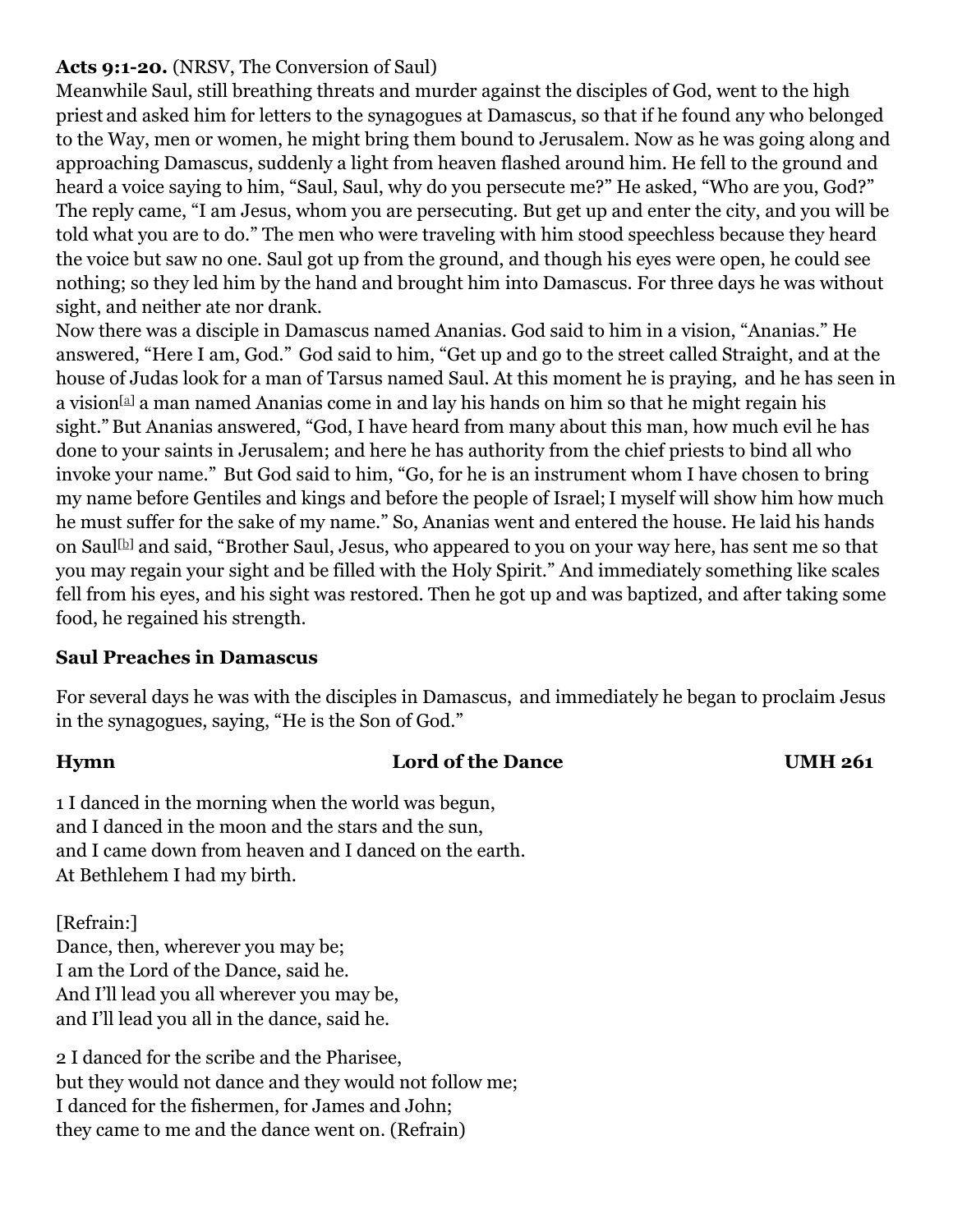### **Acts 9:1-20.** (NRSV, The Conversion of Saul)

Meanwhile Saul, still breathing threats and murder against the disciples of God, went to the high priest and asked him for letters to the synagogues at Damascus, so that if he found any who belonged to the Way, men or women, he might bring them bound to Jerusalem. Now as he was going along and approaching Damascus, suddenly a light from heaven flashed around him. He fell to the ground and heard a voice saying to him, "Saul, Saul, why do you persecute me?" He asked, "Who are you, God?" The reply came, "I am Jesus, whom you are persecuting. But get up and enter the city, and you will be told what you are to do." The men who were traveling with him stood speechless because they heard the voice but saw no one. Saul got up from the ground, and though his eyes were open, he could see nothing; so they led him by the hand and brought him into Damascus. For three days he was without sight, and neither ate nor drank.

Now there was a disciple in Damascus named Ananias. God said to him in a vision, "Ananias." He answered, "Here I am, God." God said to him, "Get up and go to the street called Straight, and at the house of Judas look for a man of Tarsus named Saul. At this moment he is praying, and he has seen in a vision[[a\]](https://www.biblegateway.com/passage/?search=Acts%209%3A1-20&version=NRSV#fen-NRSV-27217a) a man named Ananias come in and lay his hands on him so that he might regain his sight." But Ananias answered, "God, I have heard from many about this man, how much evil he has done to your saints in Jerusalem; and here he has authority from the chief priests to bind all who invoke your name." But God said to him, "Go, for he is an instrument whom I have chosen to bring my name before Gentiles and kings and before the people of Israel;I myself will show him how much he must suffer for the sake of my name." So, Ananias went and entered the house. He laid his hands on Saul[[b](https://www.biblegateway.com/passage/?search=Acts%209%3A1-20&version=NRSV#fen-NRSV-27222b)] and said, "Brother Saul, Jesus, who appeared to you on your way here, has sent me so that you may regain your sight and be filled with the Holy Spirit." And immediately something like scales fell from his eyes, and his sight was restored. Then he got up and was baptized, and after taking some food, he regained his strength.

## **Saul Preaches in Damascus**

For several days he was with the disciples in Damascus, and immediately he began to proclaim Jesus in the synagogues, saying, "He is the Son of God."

# **Hymn Lord of the Dance UMH 261**

1 I danced in the morning when the world was begun, and I danced in the moon and the stars and the sun, and I came down from heaven and I danced on the earth. At Bethlehem I had my birth.

[Refrain:] Dance, then, wherever you may be; I am the Lord of the Dance, said he. And I'll lead you all wherever you may be, and I'll lead you all in the dance, said he.

2 I danced for the scribe and the Pharisee, but they would not dance and they would not follow me; I danced for the fishermen, for James and John; they came to me and the dance went on. (Refrain)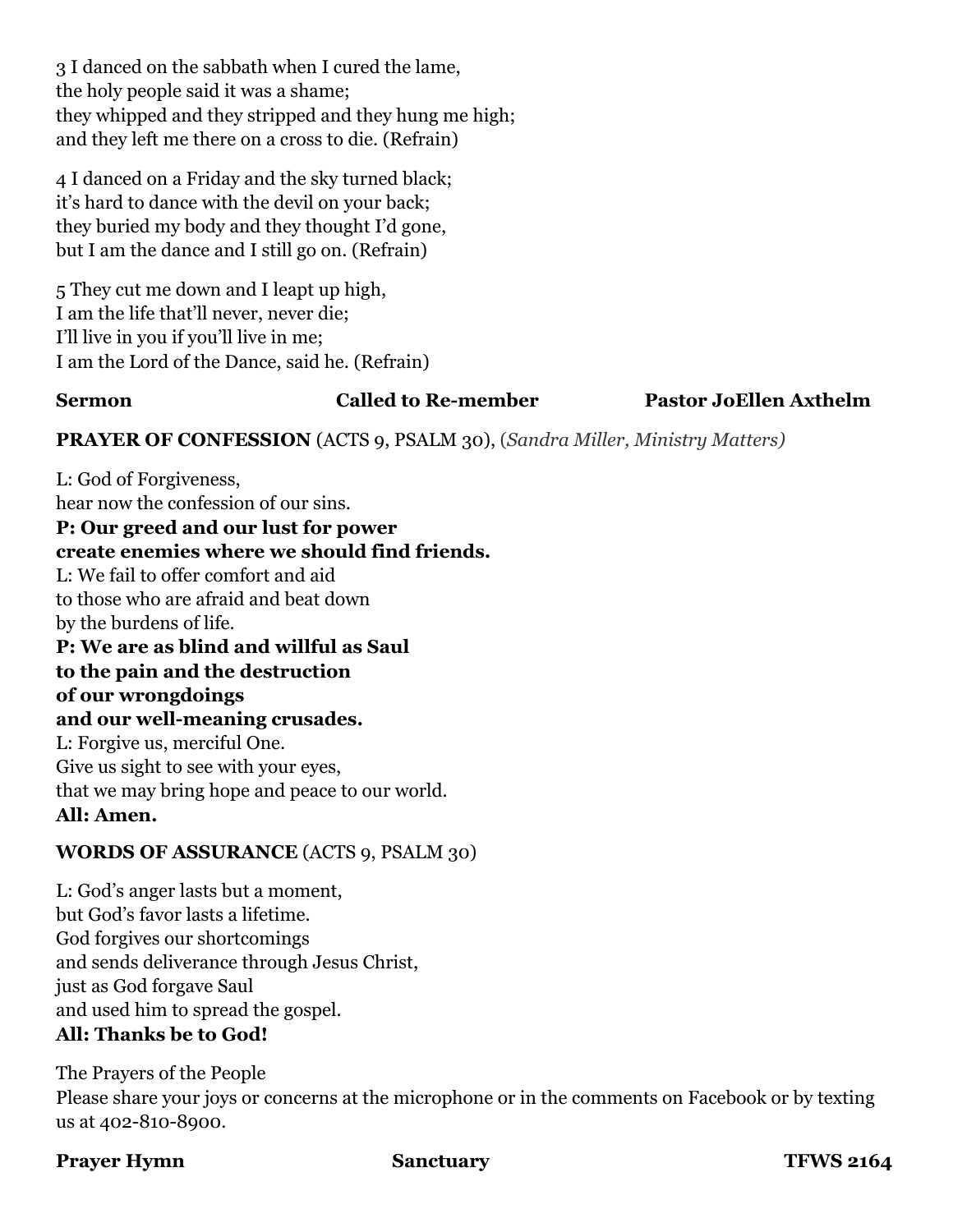3 I danced on the sabbath when I cured the lame, the holy people said it was a shame; they whipped and they stripped and they hung me high; and they left me there on a cross to die. (Refrain)

4 I danced on a Friday and the sky turned black; it's hard to dance with the devil on your back; they buried my body and they thought I'd gone, but I am the dance and I still go on. (Refrain)

5 They cut me down and I leapt up high, I am the life that'll never, never die; I'll live in you if you'll live in me; I am the Lord of the Dance, said he. (Refrain)

**Sermon Called to Re-member Pastor JoEllen Axthelm** 

**PRAYER OF CONFESSION** (ACTS 9, PSALM 30), (*Sandra Miller, Ministry Matters)*

L: God of Forgiveness, hear now the confession of our sins. **P: Our greed and our lust for power create enemies where we should find friends.** L: We fail to offer comfort and aid to those who are afraid and beat down by the burdens of life. **P: We are as blind and willful as Saul to the pain and the destruction of our wrongdoings and our well-meaning crusades.** L: Forgive us, merciful One. Give us sight to see with your eyes, that we may bring hope and peace to our world. **All: Amen.**

## **WORDS OF ASSURANCE** (ACTS 9, PSALM 30)

L: God's anger lasts but a moment, but God's favor lasts a lifetime. God forgives our shortcomings and sends deliverance through Jesus Christ, just as God forgave Saul and used him to spread the gospel.

## **All: Thanks be to God!**

The Prayers of the People

Please share your joys or concerns at the microphone or in the comments on Facebook or by texting us at 402-810-8900.

#### **Prayer Hymn Sanctuary Sanctuary TFWS 2164**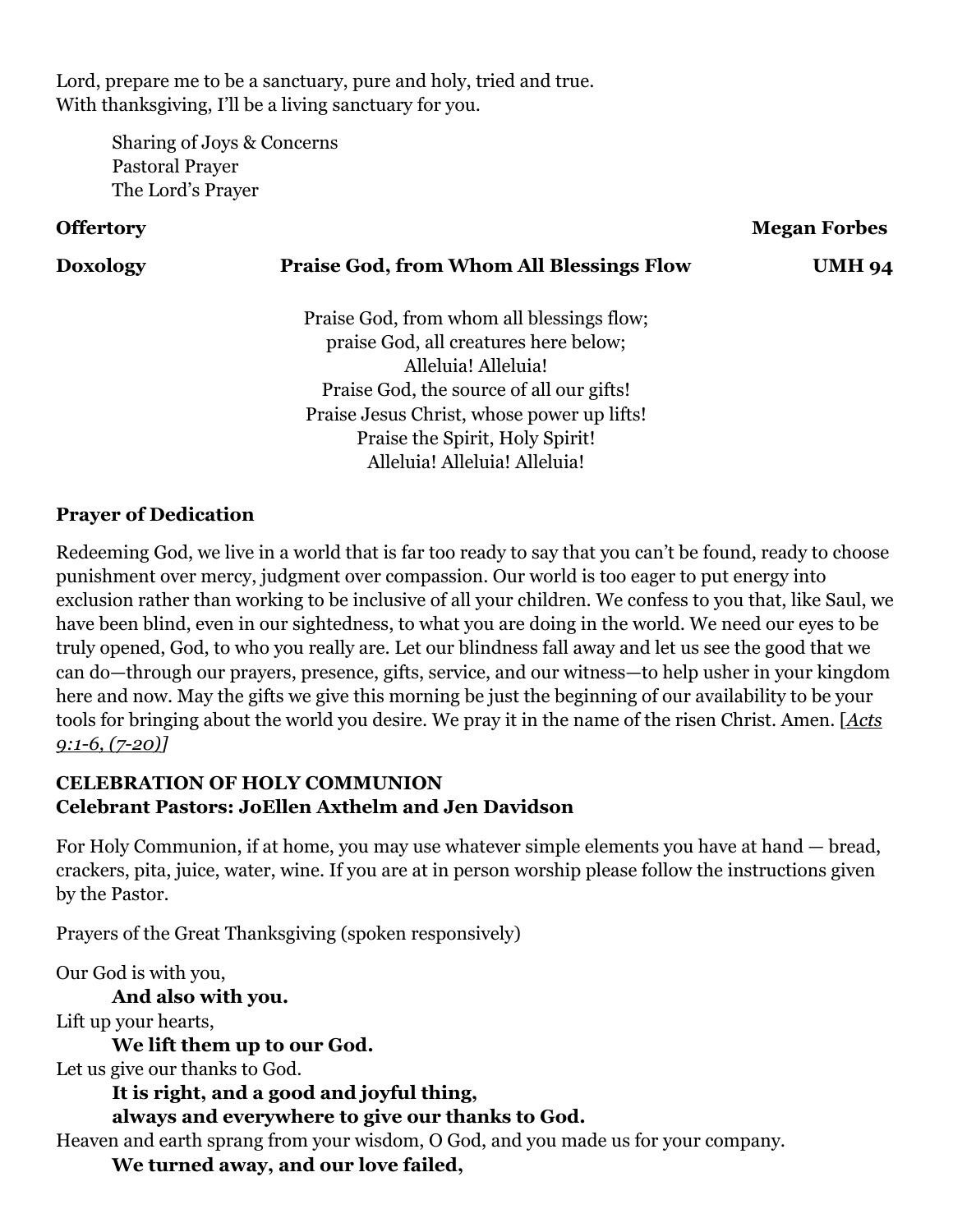Lord, prepare me to be a sanctuary, pure and holy, tried and true. With thanksgiving, I'll be a living sanctuary for you.

> Sharing of Joys & Concerns Pastoral Prayer The Lord's Prayer

#### **Offertory** Megan Forbes

**Doxology Praise God, from Whom All Blessings Flow UMH 94** Praise God, from whom all blessings flow; praise God, all creatures here below; Alleluia! Alleluia! Praise God, the source of all our gifts! Praise Jesus Christ, whose power up lifts! Praise the Spirit, Holy Spirit! Alleluia! Alleluia! Alleluia!

# **Prayer of Dedication**

Redeeming God, we live in a world that is far too ready to say that you can't be found, ready to choose punishment over mercy, judgment over compassion. Our world is too eager to put energy into exclusion rather than working to be inclusive of all your children. We confess to you that, like Saul, we have been blind, even in our sightedness, to what you are doing in the world. We need our eyes to be truly opened, God, to who you really are. Let our blindness fall away and let us see the good that we can do—through our prayers, presence, gifts, service, and our witness—to help usher in your kingdom here and now. May the gifts we give this morning be just the beginning of our availability to be your tools for bringing about the world you desire. We pray it in the name of the risen Christ. Amen. [*[Acts](https://lectionary.library.vanderbilt.edu/texts.php?id=135#hebrew_reading)  [9:1-6, \(7-20\)](https://lectionary.library.vanderbilt.edu/texts.php?id=135#hebrew_reading)]*

## **CELEBRATION OF HOLY COMMUNION Celebrant Pastors: JoEllen Axthelm and Jen Davidson**

For Holy Communion, if at home, you may use whatever simple elements you have at hand — bread, crackers, pita, juice, water, wine. If you are at in person worship please follow the instructions given by the Pastor.

Prayers of the Great Thanksgiving (spoken responsively)

Our God is with you, **And also with you.**  Lift up your hearts, **We lift them up to our God.**  Let us give our thanks to God. **It is right, and a good and joyful thing, always and everywhere to give our thanks to God.**  Heaven and earth sprang from your wisdom, O God, and you made us for your company. **We turned away, and our love failed,**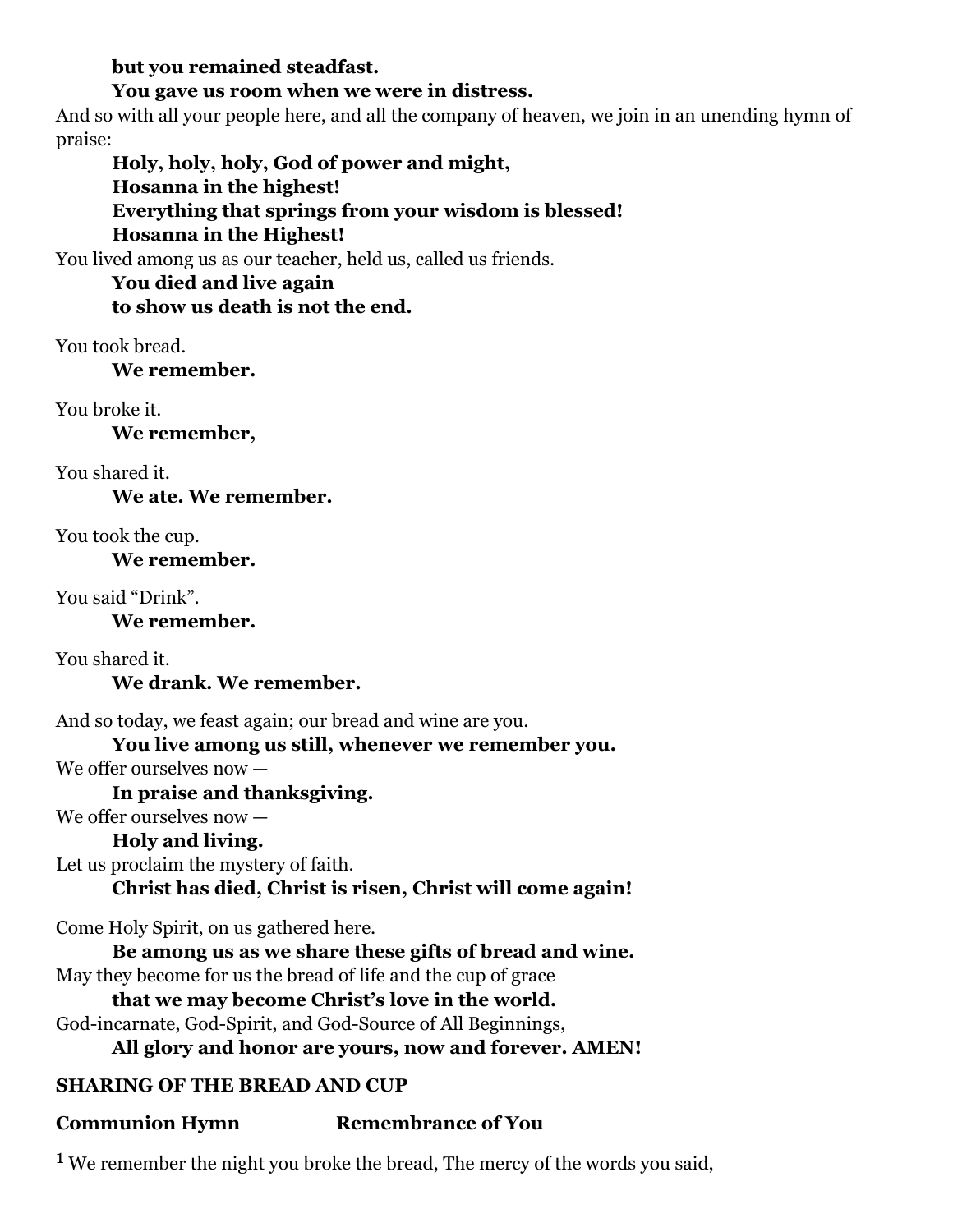#### **but you remained steadfast.**

### **You gave us room when we were in distress.**

And so with all your people here, and all the company of heaven, we join in an unending hymn of praise:

**Holy, holy, holy, God of power and might, Hosanna in the highest! Everything that springs from your wisdom is blessed! Hosanna in the Highest!**

You lived among us as our teacher, held us, called us friends.

**You died and live again to show us death is not the end.** 

You took bread.

**We remember.** 

You broke it.

**We remember,** 

You shared it. **We ate. We remember.** 

You took the cup.

**We remember.** 

You said "Drink". **We remember.** 

You shared it. **We drank. We remember.** 

And so today, we feast again; our bread and wine are you.

## **You live among us still, whenever we remember you.**

We offer ourselves now —

**In praise and thanksgiving.** 

We offer ourselves now —

**Holy and living.** 

Let us proclaim the mystery of faith.

# **Christ has died, Christ is risen, Christ will come again!**

Come Holy Spirit, on us gathered here.

**Be among us as we share these gifts of bread and wine.**  May they become for us the bread of life and the cup of grace

**that we may become Christ's love in the world.** 

God-incarnate, God-Spirit, and God-Source of All Beginnings,

**All glory and honor are yours, now and forever. AMEN!** 

# **SHARING OF THE BREAD AND CUP**

# **Communion Hymn Remembrance of You**

<sup>1</sup> We remember the night you broke the bread, The mercy of the words you said,